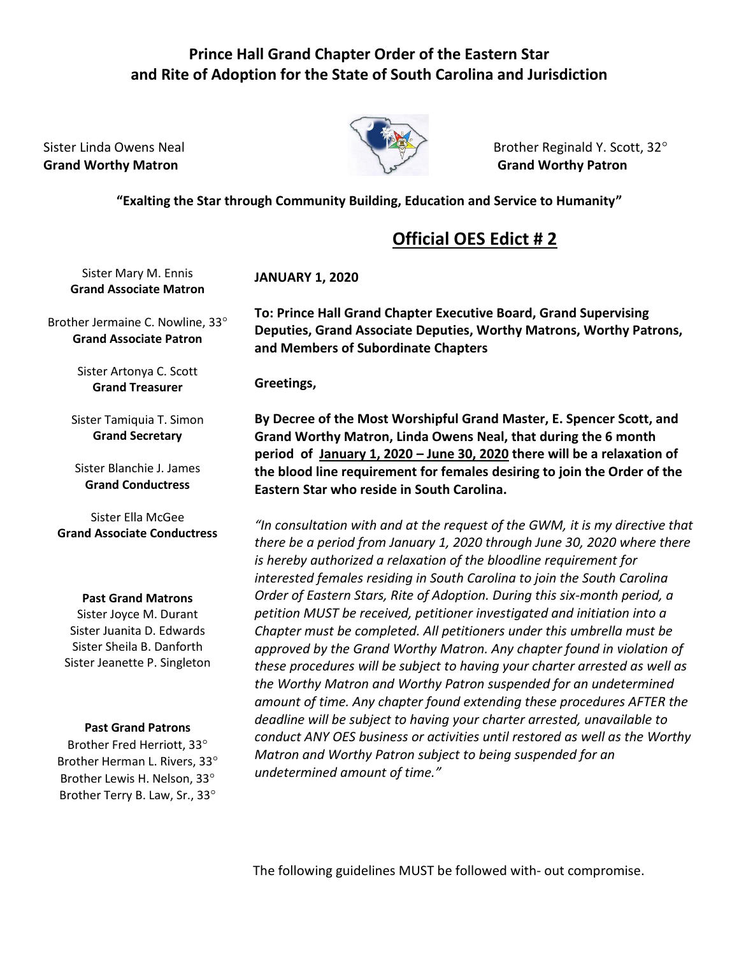## **Prince Hall Grand Chapter Order of the Eastern Star and Rite of Adoption for the State of South Carolina and Jurisdiction**

**Grand Worthy Matron Grand Worthy Patron** 



Sister Linda Owens Neal Brother Reginald Y. Scott, 32°

**"Exalting the Star through Community Building, Education and Service to Humanity"**

## **Official OES Edict # 2**

Sister Mary M. Ennis **Grand Associate Matron**

Brother Jermaine C. Nowline, 33 **Grand Associate Patron**

> Sister Artonya C. Scott **Grand Treasurer**

Sister Tamiquia T. Simon **Grand Secretary**

Sister Blanchie J. James **Grand Conductress**

Sister Ella McGee **Grand Associate Conductress**

## **Past Grand Matrons**

Sister Joyce M. Durant Sister Juanita D. Edwards Sister Sheila B. Danforth Sister Jeanette P. Singleton

## **Past Grand Patrons**

Brother Fred Herriott, 33 Brother Herman L. Rivers, 33 Brother Lewis H. Nelson, 33 Brother Terry B. Law, Sr., 33

**JANUARY 1, 2020**

**To: Prince Hall Grand Chapter Executive Board, Grand Supervising Deputies, Grand Associate Deputies, Worthy Matrons, Worthy Patrons, and Members of Subordinate Chapters**

**Greetings,**

**By Decree of the Most Worshipful Grand Master, E. Spencer Scott, and Grand Worthy Matron, Linda Owens Neal, that during the 6 month period of January 1, 2020 – June 30, 2020 there will be a relaxation of the blood line requirement for females desiring to join the Order of the Eastern Star who reside in South Carolina.**

*"In consultation with and at the request of the GWM, it is my directive that there be a period from January 1, 2020 through June 30, 2020 where there is hereby authorized a relaxation of the bloodline requirement for interested females residing in South Carolina to join the South Carolina Order of Eastern Stars, Rite of Adoption. During this six-month period, a petition MUST be received, petitioner investigated and initiation into a Chapter must be completed. All petitioners under this umbrella must be approved by the Grand Worthy Matron. Any chapter found in violation of these procedures will be subject to having your charter arrested as well as the Worthy Matron and Worthy Patron suspended for an undetermined amount of time. Any chapter found extending these procedures AFTER the deadline will be subject to having your charter arrested, unavailable to conduct ANY OES business or activities until restored as well as the Worthy Matron and Worthy Patron subject to being suspended for an undetermined amount of time."*

The following guidelines MUST be followed with- out compromise.